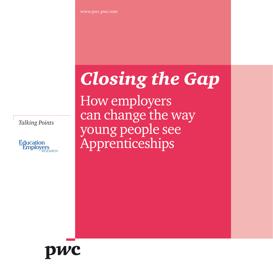# *Closing the Gap*

How employers can change the way young people see Apprenticeships

*Talking Points*



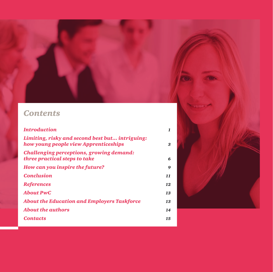## *Contents*

| <i><b>Introduction</b></i>                                                               | 1  |
|------------------------------------------------------------------------------------------|----|
| Limiting, risky and second best but intriguing:<br>how young people view Apprenticeships | 3  |
| <b>Challenging perceptions, growing demand:</b><br>three practical steps to take         | 6  |
| How can you inspire the future?                                                          | 9  |
| <b>Conclusion</b>                                                                        | 11 |
| <b>References</b>                                                                        | 12 |
| About PwC                                                                                | 13 |
| <b>About the Education and Employers Taskforce</b>                                       | 13 |
| <b>About the authors</b>                                                                 | 14 |
| <b>Contacts</b>                                                                          | 15 |

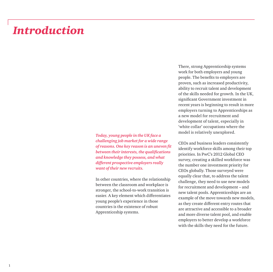## *Introduction*

*Today, young people in the UK face a challenging job market for a wide range of reasons. One key reason is an uneven fit between their interests, the qualifications and knowledge they possess, and what different prospective employers really want of their new recruits.* 

In other countries, where the relationship between the classroom and workplace is stronger, the school-to-work transition is easier. A key element which differentiates young people's experience in those countries is the existence of robust Apprenticeship systems.

There, strong Apprenticeship systems work for both employers and young people. The benefits to employers are proven, such as increased productivity, ability to recruit talent and development of the skills needed for growth. In the UK, significant Government investment in recent years is beginning to result in more employers turning to Apprenticeships as a new model for recruitment and development of talent, especially in 'white collar' occupations where the model is relatively unexplored.

CEOs and business leaders consistently identify workforce skills among their top priorities. In PwC's 2012 Global CEO survey, creating a skilled workforce was the number one investment priority for CEOs globally. Those surveyed were equally clear that, to address the talent challenge, they need to use new models for recruitment and development – and new talent pools. Apprenticeships are an example of the move towards new models, as they create different entry routes that are attractive and accessible to a broader and more diverse talent pool, and enable employers to better develop a workforce with the skills they need for the future.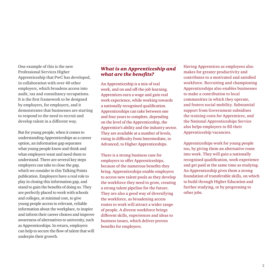One example of this is the new Professional Services Higher Apprenticeship that PwC has developed, in collaboration with over 40 other employers, which broadens access into audit, tax and consultancy occupations. It is the first framework to be designed by employers, for employers, and it demonstrates that businesses are starting to respond to the need to recruit and develop talent in a different way.

But for young people, when it comes to understanding Apprenticeships as a career option, an information gap separates what young people know and think and what employers want and need them to understand. There are several key steps employers can take to close the gap, which we consider in this Talking Points publication. Employers have a real role to play in closing this information gap, and stand to gain the benefits of doing so. They are perfectly placed to work with schools and colleges, at minimal cost, to give young people access to relevant, reliable information about the workplace, to inspire and inform their career choices and improve awareness of alternatives to university, such as Apprenticeships. In return, employers can help to secure the flow of talent that will underpin their growth.

#### *What is an Apprenticeship and what are the benefits?*

An Apprenticeship is a mix of real work, and on and off-the-job learning. Apprentices earn a wage and gain real work experience, while working towards a nationally recognised qualification. Apprenticeships can take between one and four years to complete, depending on the level of the Apprenticeship, the Apprentice's ability and the industry sector. They are available at a number of levels, rising in difficulty from Intermediate, to Advanced, to Higher Apprenticeships.

There is a strong business case for employers to offer Apprenticeships, because of the numerous benefits they bring. Apprenticeships enable employers to access new talent pools as they develop the workforce they need to grow, creating a strong talent pipeline for the future. They are also a good way of diversifying the workforce, as broadening access routes to work will attract a wider range of people. A diverse workforce brings different skills, experiences and ideas to business issues, which deliver proven benefits for employers.

Having Apprentices as employees also makes for greater productivity and contributes to a motivated and satisfied workforce. Recruiting and championing Apprenticeships also enables businesses to make a contribution to local communities in which they operate, and fosters social mobility. Substantial support from Government subsidises the training costs for Apprentices, and the National Apprenticeships Service also helps employers to fill their Apprenticeship vacancies.

Apprenticeships work for young people too, by giving them an alternative route into work. They will gain a nationally recognised qualification, work experience and get paid at the same time as studying. An Apprenticeship gives them a strong foundation of transferable skills, on which to build through Higher Education and further studying, or by progressing to other jobs.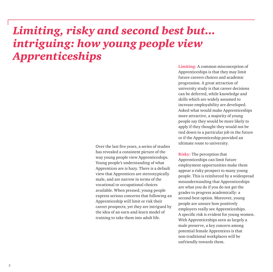## *Limiting, risky and second best but... intriguing: how young people view Apprenticeships*

Over the last five years, a series of studies has revealed a consistent picture of the way young people view Apprenticeships. Young people's understanding of what Apprentices are is hazy. There is a default view that Apprentices are stereotypically male, and are narrow in terms of the vocational or occupational choices available. When pressed, young people express serious concerns that following an Apprenticeship will limit or risk their career prospects; yet they are intrigued by the idea of an earn-and-learn model of training to take them into adult life.

**Limiting:** A common misconception of Apprenticeships is that they may limit future careers choices and academic progression. A great attraction of university study is that career decisions can be deferred, while knowledge and skills which are widely assumed to increase employability are developed. Asked what would make Apprenticeships more attractive, a majority of young people say they would be more likely to apply if they thought they would not be tied down to a particular job in the future or if the Apprenticeship provided an ultimate route to university.

**Risky:** The perception that Apprenticeships can limit future employment opportunities make them appear a risky prospect to many young people. This is reinforced by a widespread misunderstanding that Apprenticeships are what you do if you do not get the grades to progress academically: a second-best option. Moreover, young people are unsure how positively employers really see Apprenticeships. A specific risk is evident for young women. With Apprenticeships seen as largely a male preserve, a key concern among potential female Apprentices is that non-traditional workplaces will be unfriendly towards them.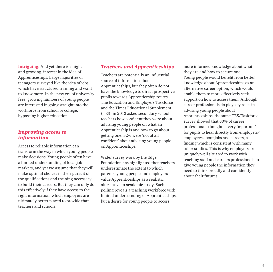**Intriguing:** And yet there is a high, and growing, interest in the idea of Apprenticeships. Large majorities of teenagers surveyed like the idea of jobs which have structured training and want to know more. In the new era of university fees, growing numbers of young people are interested in going straight into the workforce from school or college, bypassing higher education.

#### *Improving access to information*

Access to reliable information can transform the way in which young people make decisions. Young people often have a limited understanding of local job markets, and yet we assume that they will make optimal choices in their pursuit of the qualifications and training necessary to build their careers. But they can only do this effectively if they have access to the right information, which employers are ultimately better placed to provide than teachers and schools.

#### *Teachers and Apprenticeships*

Teachers are potentially an influential source of information about Apprenticeships, but they often do not have the knowledge to direct prospective pupils towards Apprenticeship routes. The Education and Employers Taskforce and the Times Educational Supplement (TES) in 2012 asked secondary school teachers how confident they were about advising young people on what an Apprenticeship is and how to go about getting one. 52% were 'not at all confident' about advising young people on Apprenticeships.

Wider survey work by the Edge Foundation has highlighted that teachers underestimate the extent to which parents, young people and employers value Apprenticeships as a realistic alternative to academic study. Such polling reveals a teaching workforce with limited understanding of Apprenticeships, but a desire for young people to access

more informed knowledge about what they are and how to secure one. Young people would benefit from better knowledge about Apprenticeships as an alternative career option, which would enable them to more effectively seek support on how to access them. Although career professionals do play key roles in advising young people about Apprenticeships, the same TES/Taskforce survey showed that 80% of career professionals thought it 'very important' for pupils to hear directly from employers/ employees about jobs and careers, a finding which is consistent with many other studies. This is why employers are uniquely well situated to work with teaching staff and careers professionals to give young people the information they need to think broadly and confidently about their futures.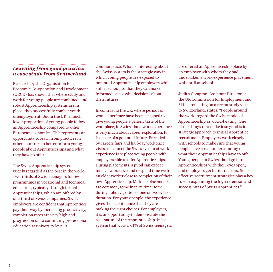#### *Learning from good practice: a case study from Switzerland*

Research by the Organisation for Economic Co-operation and Development (OECD) has shown that where study and work for young people are combined, and robust Apprenticeship systems are in place, they successfully combat youth unemployment. But in the UK, a much lower proportion of young people follow an Apprenticeship compared to other European economies. This represents an opportunity to learn from practices in other countries to better inform young people about Apprenticeships and what they have to offer.

The Swiss Apprenticeship system is widely regarded as the best in the world. Two-thirds of Swiss teenagers follow programmes in vocational and technical education, typically through formal Apprenticeships, which are offered by one-third of Swiss companies. Swiss employers are confident that Apprentices pay their way by increasing productivity, completion rates are very high and progression on to continuing professional education at university level is

commonplace. What is interesting about the Swiss system is the strategic way in which young people are exposed to potential Apprenticeship employers while still at school, so that they can make informed, successful decisions about their futures.

In contrast to the UK, where periods of work experience have been designed to give young people a generic taste of the workplace, in Switzerland work experience is very much about career exploration. It is a taste of a potential future. Preceded by careers fairs and half-day workplace visits, the aim of the Swiss system of work experience is to place young people with employers able to offer Apprenticeships. During placements, a pupil can expect interview practice and to spend time with an older worker close to completion of their own Apprenticeship. Multiple placements are common, some in term time, some during holidays, often of one or two weeks duration. For young people, the experience gives them confidence that they are making the right choices. For employers, it is an opportunity to demonstrate the real nature of the Apprenticeship. It is a system that works: 61% of Swiss teenagers are offered an Apprenticeship place by an employer with whom they had undertaken a work experience placement while still at school.

Judith Compton, Assistant Director at the UK Commission for Employment and Skills, reflecting on a recent study visit to Switzerland, states: "People around the world regard the Swiss model of Apprenticeship as world-beating. One of the things that make it so good is its strategic approach to initial Apprentice recruitment. Employers work closely with schools to make sure that young people have a real understanding of what their Apprenticeships have to offer. Young people in Switzerland go into Apprenticeships with their eyes open, and employers get better recruits. Such effective recruitment strategies play a key role in explaining the high retention and success rates of Swiss Apprentices."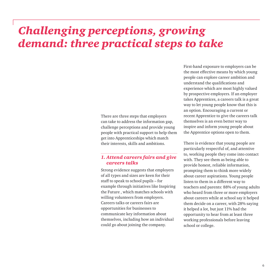## *Challenging perceptions, growing demand: three practical steps to take*

There are three steps that employers can take to address the information gap, challenge perceptions and provide young people with practical support to help them get into Apprenticeships which match their interests, skills and ambitions.

#### *1. Attend careers fairs and give careers talks*

Strong evidence suggests that employers of all types and sizes are keen for their staff to speak to school pupils – for example through initiatives like Inspiring the Future , which matches schools with willing volunteers from employers. Careers talks or careers fairs are opportunities for businesses to communicate key information about themselves, including how an individual could go about joining the company.

First-hand exposure to employers can be the most effective means by which young people can explore career ambition and understand the qualifications and experience which are most highly valued by prospective employers. If an employer takes Apprentices, a careers talk is a great way to let young people know that this is an option. Encouraging a current or recent Apprentice to give the careers talk themselves is an even better way to inspire and inform young people about the Apprentice options open to them.

There is evidence that young people are particularly respectful of, and attentive to, working people they come into contact with. They see them as being able to provide honest, reliable information, prompting them to think more widely about career aspirations. Young people listen to them in a different way to teachers and parents: 88% of young adults who heard from three or more employers about careers while at school say it helped them decide on a career, with 28% saying it helped a lot, but just 11% had the opportunity to hear from at least three working professionals before leaving school or college.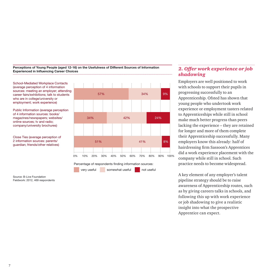**Perceptions of Young People (aged 12-16) on the Usefulness of Different Sources of Information Experienced in Influencing Career Choices**

School-Mediated Workplace Contacts (average perception of 4 information sources: meeting an employer; attending career fairs/exhibitions; talk to students who are in college/university or employment; work experience)

Public Information (average perception of 4 information sources: books/ magazines/newspapers; websites/ online sources; tv and radio; company/university brochures)

Close Ties (average perception of 2 information sources: parents/ guardian; friends/other relatives)



Percentage of respondents finding information sources:

very useful somewhat useful not useful

*2. Offer work experience or job shadowing* 

Employers are well positioned to work with schools to support their pupils in progressing successfully to an Apprenticeship. Ofsted has shown that young people who undertook work experience or employment tasters related to Apprenticeships while still in school make much better progress than peers lacking the experience – they are retained for longer and more of them complete their Apprenticeship successfully. Many employers know this already: half of hairdressing firm Sassoon's Apprentices did a work experience placement with the company while still in school. Such practice needs to become widespread.

A key element of any employer's talent pipeline strategy should be to raise awareness of Apprenticeship routes, such as by giving careers talks in schools, and following this up with work experience or job shadowing to give a realistic insight into what the prospective Apprentice can expect.

Source: B-Live Foundation Fieldwork: 2012, 469 respondents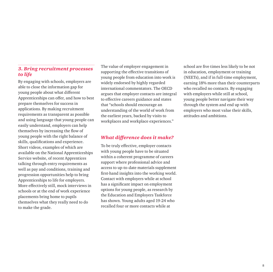#### *3. Bring recruitment processes to life*

By engaging with schools, employers are able to close the information gap for young people about what different Apprenticeships can offer, and how to best prepare themselves for success in applications. By making recruitment requirements as transparent as possible and using language that young people can easily understand, employers can help themselves by increasing the flow of young people with the right balance of skills, qualifications and experience. Short videos, examples of which are available on the National Apprenticeships Service website, of recent Apprentices talking through entry requirements as well as pay and conditions, training and progression opportunities help to bring Apprenticeships to life for employers. More effectively still, mock interviews in schools or at the end of work experience placements bring home to pupils themselves what they really need to do to make the grade.

The value of employer engagement in supporting the effective transitions of young people from education into work is widely endorsed by highly regarded international commentators. The OECD argues that employer contacts are integral to effective careers guidance and states that "schools should encourage an understanding of the world of work from the earliest years, backed by visits to workplaces and workplace experiences."

#### *What difference does it make?*

To be truly effective, employer contacts with young people have to be situated within a coherent programme of careers support where professional advice and access to up-to-date materials supplement first-hand insights into the working world. Contact with employers while at school has a significant impact on employment options for young people, as research by the Education and Employers Taskforce has shown. Young adults aged 19-24 who recalled four or more contacts while at

school are five times less likely to be not in education, employment or training (NEETs), and if in full-time employment, earning 18% more than their counterparts who recalled no contacts. By engaging with employers while still at school, young people better navigate their way through the system and end up with employers who most value their skills, attitudes and ambitions.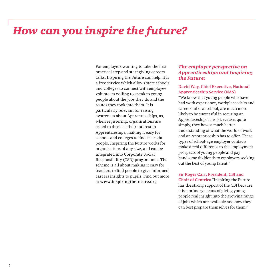## *How can you inspire the future?*

For employers wanting to take the first practical step and start giving careers talks, Inspiring the Future can help. It is a free service which allows state schools and colleges to connect with employee volunteers willing to speak to young people about the jobs they do and the routes they took into them. It is particularly relevant for raising awareness about Apprenticeships, as, when registering, organisations are asked to disclose their interest in Apprenticeships, making it easy for schools and colleges to find the right people. Inspiring the Future works for organisations of any size, and can be integrated into Corporate Social Responsibility (CSR) programmes. The scheme is all about making it easy for teachers to find people to give informed careers insights to pupils. Find out more at **www.inspiringthefuture.org**

#### *The employer perspective on Apprenticeships and Inspiring the Future:*

#### **David Way, Chief Executive, National Apprenticeship Service (NAS)**

"We know that young people who have had work experience, workplace visits and careers talks at school, are much more likely to be successful in securing an Apprenticeship. This is because, quite simply, they have a much better understanding of what the world of work and an Apprenticeship has to offer. These types of school-age employer contacts make a real difference to the employment prospects of young people and pay handsome dividends to employers seeking out the best of young talent."

**Sir Roger Carr, President, CBI and Chair of Centrica** "Inspiring the Future has the strong support of the CBI because it is a primary means of giving young people real insight into the growing range of jobs which are available and how they can best prepare themselves for them."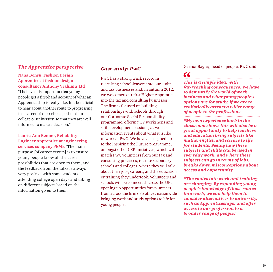#### **Nana Bonsu, Fashion Design Apprentice at fashion design consultancy Anthony Vrahimis Ltd**

"I believe it is important that young people get a first-hand account of what an Apprenticeship is really like. It is beneficial to hear about another route to progressing in a career of their choice, other than college or university, so that they are well informed to make a decision."

#### **Laurie-Ann Benner, Reliability Engineer Apprentice at engineering services company PEME** "The main

purpose [of career events] is to ensure young people know all the career possibilities that are open to them, and the feedback from the talks is always very positive with some students attending college open days and taking on different subjects based on the information given to them."

#### *Case study: PwC*

PwC has a strong track record in recruiting school-leavers into our audit and tax businesses and, in autumn 2012, we welcomed our first Higher Apprentices into the tax and consulting businesses. The firm is focused on building relationships with schools through our Corporate Social Responsibility programme, offering CV workshops and skill development sessions, as well as information events about what it is like to work at PwC. We have also signed up to the Inspiring the Future programme, amongst other CSR initiatives, which will match PwC volunteers from our tax and consulting practices, to state secondary schools and colleges, where they will talk about their jobs, careers, and the education or training they undertook. Volunteers and schools will be connected across the UK, opening up opportunities for volunteers from across the firm's 35 offices nationwide bringing work and study options to life for young people.

**The Apprentice perspective Case study: PuC BuC** Gaenor Bagley, head of people, PwC said:

### $cc$

*This is a simple idea, with far-reaching consequences. We have to demystify the world of work, business and what young people's options are for study, if we are to realistically attract a wider range of people to the professions.* 

*"My own experience back in the classroom shows this will also be a great opportunity to help teachers and education bring subjects like maths, english and science to life for students. Seeing how these subjects and skills can be used in everyday work, and where these subjects can go in terms of jobs, breaks down misconceptions about access and opportunity.* 

*"The routes into work and training are changing. By expanding young people's knowledge of those routes into work, we can help them to consider alternatives to university, such as Apprenticeships, and offer access to our profession to a broader range of people."*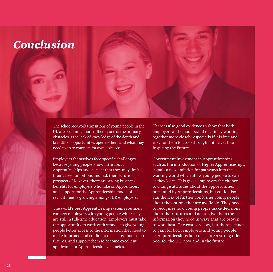## *Conclusion*

The school-to-work transitions of young people in the UK are becoming more difficult; one of the primary obstacles is the lack of knowledge of the depth and breadth of opportunities open to them and what they need to do to compete for available jobs.

Employers themselves face specific challenges because young people know little about Apprenticeships and suspect that they may limit their career ambitions and risk their future prospects. However, there are strong business benefits for employers who take on Apprentices, and support for the Apprenticeship model of recruitment is growing amongst UK employers.

The world's best Apprenticeship systems routinely connect employers with young people while they are still in full-time education. Employers must take the opportunity to work with schools to give young people better access to the information they need to make informed and confident decisions about their futures, and support them to become excellent applicants for Apprenticeship vacancies.

There is also good evidence to show that both employers and schools stand to gain by working together more closely, especially if it is free and easy for them to do so through initiatives like Inspiring the Future.

Government investment in Apprenticeships, such as the introduction of Higher Apprenticeships, signals a new ambition for pathways into the working world which allow young people to earn as they learn. This gives employers the chance to change attitudes about the opportunities presented by Apprenticeships, but could also run the risk of further confusing young people about the options that are available. They need to recognise how young people make decisions about their futures and act to give them the information they need in ways that are proven to work best. The costs are low, but there is much to gain for both employers and young people, as Apprenticeships help to secure a strong talent pool for the UK, now and in the future.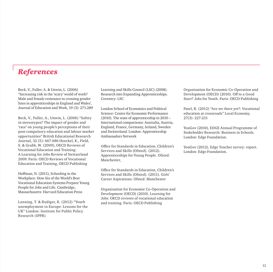### *References*

Beck, V., Fuller, A. & Unwin, L. (2006) "Increasing risk in the 'scary' world of work? Male and female resistance to crossing gender lines in apprenticeships in England and Wales', Journal of Education and Work, 19 (3): 271-289

Beck, V., Fuller, A., Unwin, L. (2006) "Safety in stereotypes? The impact of gender and 'race' on young people's perceptions of their post-compulsory education and labour market opportunities" British Educational Research Journal, 32 (5): 667-686 Hoeckel, K., Field, S. & Grubb, W. (2009), OECD Reviews of Vocational Education and Training: A Learning for Jobs Review of Switzerland 2009. Paris: OECD Reviews of Vocational Education and Training, OECD Publishing

Hoffman, N. (2011), Schooling in the Workplace: How Six of the World's Best Vocational Education Systems Prepare Young People for Jobs and Life. Cambridge, Massachusetts: Harvard Education Press

Lanning, T. & Rudiger, K. (2012) "Youth unemployment in Europe: Lessons for the UK" London: Institute for Public Policy Research (IPPR)

Learning and Skills Council (LSC) (2008). Research into Expanding Apprenticeships. Coventry: LSC

London School of Economics and Political Science: Centre for Economic Performance (2010). The state of apprenticeship in 2010 – International comparisons: Australia, Austria, England, France, Germany, Ireland, Sweden and Switzerland. London: Apprenticeship Ambassadors Network

Office for Standards in Education, Children's Services and Skills (Ofsted). (2012). Apprenticeships for Young People. Ofsted: Manchester,

Office for Standards in Education, Children's Services and Skills (Ofsted). (2011). Girls' Career Aspirations. Ofsted: Manchester

Organisation for Economic Co-Operation and Development (OECD) (2010). Learning for Jobs: OECD reviews of vocational education and training. Paris: OECD Publishing

Organisation for Economic Co-Operation and Development (OECD) (2010). Off to a Good Start? Jobs for Youth. Paris: OECD Publishing

Patel, R. (2012) "Are we there yet?: Vocational education at crossroads" Local Economy, 27(3): 227-231

YouGov (2010), EDGE Annual Programme of Stakeholder Research: Business in Schools. London: Edge Foundation.

YouGov (2012), Edge Teacher survey: report. London: Edge Foundation.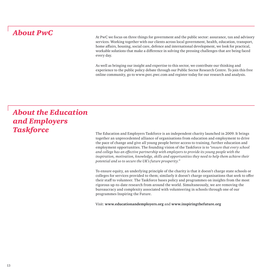### *About PwC*

At PwC we focus on three things for government and the public sector: assurance, tax and advisory services. Working together with our clients across local government, health, education, transport, home affairs, housing, social care, defence and international development, we look for practical, workable solutions that make a difference in solving the pressing challenges that are being faced every day.

As well as bringing our insight and expertise to this sector, we contribute our thinking and experience to the public policy debate through our Public Sector Research Centre. To join this free online community, go to www.psrc.pwc.com and register today for our research and analysis.

## *About the Education and Employers*  **Taskforce** The Education and Employers Taskforce is an independent charity launched in 2009. It brings

together an unprecedented alliance of organisations from education and employment to drive the pace of change and give all young people better access to training, further education and employment opportunities. The founding vision of the Taskforce is to *"ensure that every school and college has an effective partnership with employers to provide its young people with the inspiration, motivation, knowledge, skills and opportunities they need to help them achieve their potential and so to secure the UK's future prosperity."*

To ensure equity, an underlying principle of the charity is that it doesn't charge state schools or colleges for services provided to them; similarly it doesn't charge organisations that seek to offer their staff to volunteer. The Taskforce bases policy and programmes on insights from the most rigorous up-to-date research from around the world. Simultaneously, we are removing the bureaucracy and complexity associated with volunteering in schools through one of our programmes Inspiring the Future.

Visit: **www.educationandemployers.org** and **www.inspiringthefuture.org**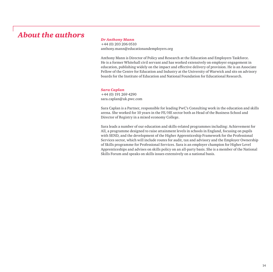### *About the authors*

#### *Dr Anthony Mann*

+44 (0) 203 206 0510 anthony.mann@educationandemployers.org

Anthony Mann is Director of Policy and Research at the Education and Employers Taskforce. He is a former Whitehall civil servant and has worked extensively on employer engagement in education, publishing widely on the impact and effective delivery of provision. He is an Associate Fellow of the Centre for Education and Industry at the University of Warwick and sits on advisory boards for the Institute of Education and National Foundation for Educational Research.

#### *Sara Caplan*

+44 (0) 191 269 4290 sara.caplan@uk.pwc.com

Sara Caplan is a Partner, responsible for leading PwC's Consulting work in the education and skills arena. She worked for 10 years in the FE/HE sector both as Head of the Business School and Director of Registry in a mixed economy College.

Sara leads a number of our education and skills-related programmes including: Achievement for All, a programme designed to raise attainment levels in schools in England, focusing on pupils with SEND, and the development of the Higher Apprenticeship Framework for the Professional Services sector, which will include routes for audit, tax and advisory and the Employer Ownership of Skills programme for Professional Services. Sara is an employer champion for Higher Level Apprenticeships and advises on skills policy on an all-party basis. She is a member of the National Skills Forum and speaks on skills issues extensively on a national basis.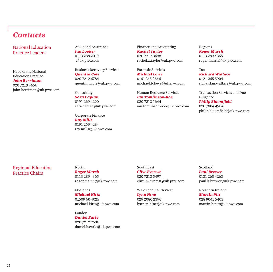### *Contacts*

National Education Practice Leaders

Head of the National Education Practice *John Berriman* 020 7213 4656 john.berriman@uk.pwc.com Audit and Assurance *Ian Looker* 0113 288 2019 @uk.pwc.com

Business Recovery Services *Quentin Cole*

020 7212 6784 quentin.r.cole@uk.pwc.com

Consulting *Sara Caplan* 0191 269 4290 sara.caplan@uk.pwc.com

Corporate Finance *Ray Mills* 0191 269 4284 ray.mills@uk.pwc.com Finance and Accounting *Rachel Taylor* 020 7212 3698 rachel.z.taylor@uk.pwc.com

Forensic Services

*Michael Lowe* 0161 245 2646 michael.b.lowe@uk.pwc.com

Human Resource Services *Ian Tomlinson-Roe* 020 7213 1644 ian.tomlinson-roe@uk.pwc.com Regions

*Roger Marsh* 0113 289 4365 roger.marsh@uk.pwc.com

Tax *Richard Wallace*

0121 265 5904 richard.m.wallace@uk.pwc.com

Transaction Services and Due Diligence

*Philip Bloomfield* 020 7804 4904 philip.bloomfield@uk.pwc.com

#### Regional Education Practice Chairs

#### North

*Roger Marsh* 0113 289 4365 roger.marsh@uk.pwc.com

Midlands *Michael Kitts* 01509 60 4025 michael.kitts@uk.pwc.com

London *Daniel Earle*

020 7212 2536 daniel.b.earle@uk.pwc.com

#### South East *Clive Everest*

020 7213 5497 clive.m.everest@uk.pwc.com

Wales and South West *Lynn Hine* 029 2080 2390 lynn.m.hine@uk.pwc.com

#### Scotland *Paul Brewer*

0131 260 4263 paul.k.brewer@uk.pwc.com

Northern Ireland *Martin Pitt*

028 9041 5403 martin.h.pitt@uk.pwc.com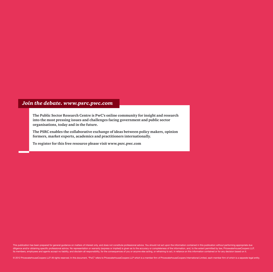#### *Join the debate. www.psrc.pwc.com*

**The Public Sector Research Centre is PwC's online community for insight and research into the most pressing issues and challenges facing government and public sector organisations, today and in the future.** 

**The PSRC enables the collaborative exchange of ideas between policy makers, opinion formers, market experts, academics and practitioners internationally.** 

**To register for this free resource please visit www.psrc.pwc.com**

This publication has been prepared for general guidance on matters of interest only, and does not constitute professional advice. You should not act upon the information contained in this publication without performing app diligence and/or obtaining specific professional advice. No representation or warranty (express or implied) is given as to the accuracy or completeness of the information, and, to the extent permitted by law, Pricewaterhou its members, employees and agents accept no liability, and disclaim all responsibility, for the consequences of you or anyone else acting, or refraining to act, in reliance on this information contained or for any decision

© 2012 PricewaterhouseCoopers LLP. All rights reserved. In this document, "PwC" refers to PricewaterhouseCoopers LLP which is a member firm of PricewaterhouseCoopers International Limited, each member firm of which is a se